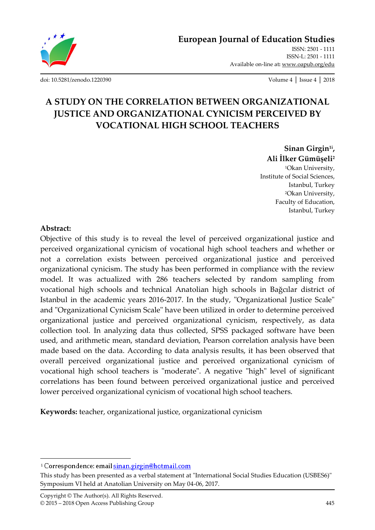

ISSN: 2501 - 1111 ISSN-L: 2501 - 1111 Available on-line at**:** www.oapub.org/edu

[doi: 10.5281/zenodo.1220390](http://dx.doi.org/10.5281/zenodo.1220390) Volume 4 │ Issue 4 │ 2018

# **A STUDY ON THE CORRELATION BETWEEN ORGANIZATIONAL JUSTICE AND ORGANIZATIONAL CYNICISM PERCEIVED BY VOCATIONAL HIGH SCHOOL TEACHERS**

**Sinan Girgin1i , Ali İlker Gümüşeli<sup>2</sup>**

<sup>1</sup>Okan University, Institute of Social Sciences, Istanbul, Turkey <sup>2</sup>Okan University, Faculty of Education, Istanbul, Turkey

#### **Abstract:**

 $\overline{\phantom{a}}$ 

Objective of this study is to reveal the level of perceived organizational justice and perceived organizational cynicism of vocational high school teachers and whether or not a correlation exists between perceived organizational justice and perceived organizational cynicism. The study has been performed in compliance with the review model. It was actualized with 286 teachers selected by random sampling from vocational high schools and technical Anatolian high schools in Bağcılar district of Istanbul in the academic years 2016-2017. In the study, "Organizational Justice Scale" and "Organizational Cynicism Scale" have been utilized in order to determine perceived organizational justice and perceived organizational cynicism, respectively, as data collection tool. In analyzing data thus collected, SPSS packaged software have been used, and arithmetic mean, standard deviation, Pearson correlation analysis have been made based on the data. According to data analysis results, it has been observed that overall perceived organizational justice and perceived organizational cynicism of vocational high school teachers is "moderate". A negative "high" level of significant correlations has been found between perceived organizational justice and perceived lower perceived organizational cynicism of vocational high school teachers.

**Keywords:** teacher, organizational justice, organizational cynicism

<sup>&</sup>lt;sup>i</sup> Correspondence: email sinan.girgin@hotmail.com

This study has been presented as a verbal statement at "International Social Studies Education (USBES6)" Symposium VI held at Anatolian University on May 04-06, 2017.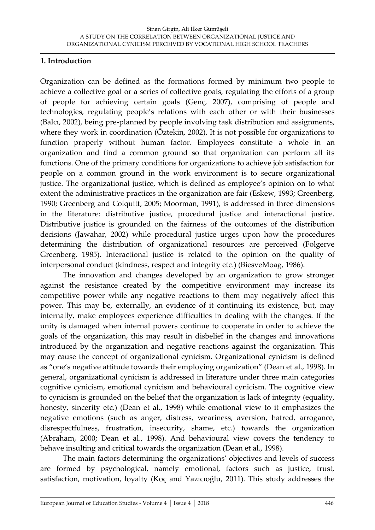#### **1. Introduction**

Organization can be defined as the formations formed by minimum two people to achieve a collective goal or a series of collective goals, regulating the efforts of a group of people for achieving certain goals (Genç, 2007), comprising of people and technologies, regulating people's relations with each other or with their businesses (Balcı, 2002), being pre-planned by people involving task distribution and assignments, where they work in coordination (Öztekin, 2002). It is not possible for organizations to function properly without human factor. Employees constitute a whole in an organization and find a common ground so that organization can perform all its functions. One of the primary conditions for organizations to achieve job satisfaction for people on a common ground in the work environment is to secure organizational justice. The organizational justice, which is defined as employee's opinion on to what extent the administrative practices in the organization are fair (Eskew, 1993; Greenberg, 1990; Greenberg and Colquitt, 2005; Moorman, 1991), is addressed in three dimensions in the literature: distributive justice, procedural justice and interactional justice. Distributive justice is grounded on the fairness of the outcomes of the distribution decisions (Jawahar, 2002) while procedural justice urges upon how the procedures determining the distribution of organizational resources are perceived (Folgerve Greenberg, 1985). Interactional justice is related to the opinion on the quality of interpersonal conduct (kindness, respect and integrity etc.) (BiesveMoag, 1986).

The innovation and changes developed by an organization to grow stronger against the resistance created by the competitive environment may increase its competitive power while any negative reactions to them may negatively affect this power. This may be, externally, an evidence of it continuing its existence, but, may internally, make employees experience difficulties in dealing with the changes. If the unity is damaged when internal powers continue to cooperate in order to achieve the goals of the organization, this may result in disbelief in the changes and innovations introduced by the organization and negative reactions against the organization. This may cause the concept of organizational cynicism. Organizational cynicism is defined as "one's negative attitude towards their employing organization" (Dean et al., 1998). In general, organizational cynicism is addressed in literature under three main categories cognitive cynicism, emotional cynicism and behavioural cynicism. The cognitive view to cynicism is grounded on the belief that the organization is lack of integrity (equality, honesty, sincerity etc.) (Dean et al., 1998) while emotional view to it emphasizes the negative emotions (such as anger, distress, weariness, aversion, hatred, arrogance, disrespectfulness, frustration, insecurity, shame, etc.) towards the organization (Abraham, 2000; Dean et al., 1998). And behavioural view covers the tendency to behave insulting and critical towards the organization (Dean et al., 1998).

The main factors determining the organizations' objectives and levels of success are formed by psychological, namely emotional, factors such as justice, trust, satisfaction, motivation, loyalty (Koç and Yazıcıoğlu, 2011). This study addresses the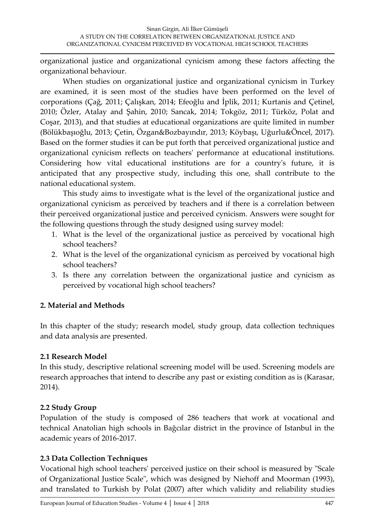organizational justice and organizational cynicism among these factors affecting the organizational behaviour.

When studies on organizational justice and organizational cynicism in Turkey are examined, it is seen most of the studies have been performed on the level of corporations (Çağ, 2011; Çalışkan, 2014; Efeoğlu and İplik, 2011; Kurtanis and Çetinel, 2010; Özler, Atalay and Şahin, 2010; Sancak, 2014; Tokgöz, 2011; Türköz, Polat and Coşar, 2013), and that studies at educational organizations are quite limited in number (Bölükbaşıoğlu, 2013; Çetin, Özgan&Bozbayındır, 2013; Köybaşı, Uğurlu&Öncel, 2017). Based on the former studies it can be put forth that perceived organizational justice and organizational cynicism reflects on teachers' performance at educational institutions. Considering how vital educational institutions are for a country's future, it is anticipated that any prospective study, including this one, shall contribute to the national educational system.

This study aims to investigate what is the level of the organizational justice and organizational cynicism as perceived by teachers and if there is a correlation between their perceived organizational justice and perceived cynicism. Answers were sought for the following questions through the study designed using survey model:

- 1. What is the level of the organizational justice as perceived by vocational high school teachers?
- 2. What is the level of the organizational cynicism as perceived by vocational high school teachers?
- 3. Is there any correlation between the organizational justice and cynicism as perceived by vocational high school teachers?

## **2. Material and Methods**

In this chapter of the study; research model, study group, data collection techniques and data analysis are presented.

## **2.1 Research Model**

In this study, descriptive relational screening model will be used. Screening models are research approaches that intend to describe any past or existing condition as is (Karasar, 2014).

## **2.2 Study Group**

Population of the study is composed of 286 teachers that work at vocational and technical Anatolian high schools in Bağcılar district in the province of Istanbul in the academic years of 2016-2017.

## **2.3 Data Collection Techniques**

Vocational high school teachers' perceived justice on their school is measured by "Scale of Organizational Justice Scale", which was designed by Niehoff and Moorman (1993), and translated to Turkish by Polat (2007) after which validity and reliability studies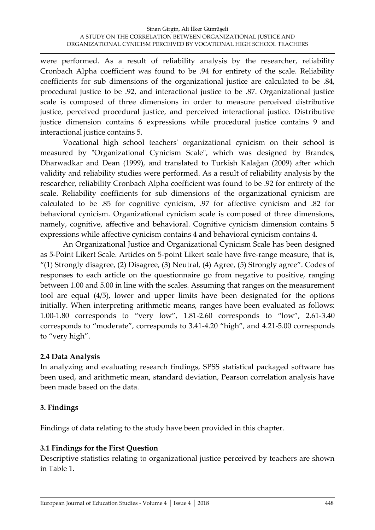were performed. As a result of reliability analysis by the researcher, reliability Cronbach Alpha coefficient was found to be .94 for entirety of the scale. Reliability coefficients for sub dimensions of the organizational justice are calculated to be .84, procedural justice to be .92, and interactional justice to be .87. Organizational justice scale is composed of three dimensions in order to measure perceived distributive justice, perceived procedural justice, and perceived interactional justice. Distributive justice dimension contains 6 expressions while procedural justice contains 9 and interactional justice contains 5.

Vocational high school teachers' organizational cynicism on their school is measured by "Organizational Cynicism Scale", which was designed by Brandes, Dharwadkar and Dean (1999), and translated to Turkish Kalağan (2009) after which validity and reliability studies were performed. As a result of reliability analysis by the researcher, reliability Cronbach Alpha coefficient was found to be .92 for entirety of the scale. Reliability coefficients for sub dimensions of the organizational cynicism are calculated to be .85 for cognitive cynicism, .97 for affective cynicism and .82 for behavioral cynicism. Organizational cynicism scale is composed of three dimensions, namely, cognitive, affective and behavioral. Cognitive cynicism dimension contains 5 expressions while affective cynicism contains 4 and behavioral cynicism contains 4.

An Organizational Justice and Organizational Cynicism Scale has been designed as 5-Point Likert Scale. Articles on 5-point Likert scale have five-range measure, that is, "(1) Strongly disagree, (2) Disagree, (3) Neutral, (4) Agree, (5) Strongly agree". Codes of responses to each article on the questionnaire go from negative to positive, ranging between 1.00 and 5.00 in line with the scales. Assuming that ranges on the measurement tool are equal (4/5), lower and upper limits have been designated for the options initially. When interpreting arithmetic means, ranges have been evaluated as follows: 1.00-1.80 corresponds to "very low", 1.81-2.60 corresponds to "low", 2.61-3.40 corresponds to "moderate", corresponds to 3.41-4.20 "high", and 4.21-5.00 corresponds to "very high".

#### **2.4 Data Analysis**

In analyzing and evaluating research findings, SPSS statistical packaged software has been used, and arithmetic mean, standard deviation, Pearson correlation analysis have been made based on the data.

## **3. Findings**

Findings of data relating to the study have been provided in this chapter.

## **3.1 Findings for the First Question**

Descriptive statistics relating to organizational justice perceived by teachers are shown in Table 1.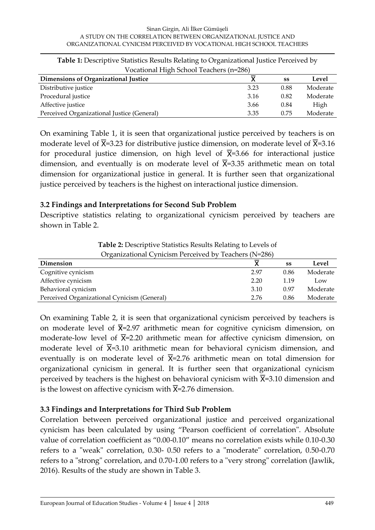#### Sinan Girgin, Ali İlker Gümüşeli A STUDY ON THE CORRELATION BETWEEN ORGANIZATIONAL JUSTICE AND ORGANIZATIONAL CYNICISM PERCEIVED BY VOCATIONAL HIGH SCHOOL TEACHERS

| Vocational High School Teachers (n=286)    |      |      |          |  |  |  |  |
|--------------------------------------------|------|------|----------|--|--|--|--|
| Dimensions of Organizational Justice       |      | SS   | Level    |  |  |  |  |
| Distributive justice                       | 3.23 | 0.88 | Moderate |  |  |  |  |
| Procedural justice                         | 3.16 | 0.82 | Moderate |  |  |  |  |
| Affective justice                          | 3.66 | 0.84 | High     |  |  |  |  |
| Perceived Organizational Justice (General) | 3.35 | 0.75 | Moderate |  |  |  |  |

**Table 1:** Descriptive Statistics Results Relating to Organizational Justice Perceived by

On examining Table 1, it is seen that organizational justice perceived by teachers is on moderate level of  $\overline{X}$ =3.23 for distributive justice dimension, on moderate level of  $\overline{X}$ =3.16 for procedural justice dimension, on high level of  $\overline{X}=3.66$  for interactional justice dimension, and eventually is on moderate level of  $\overline{X}$ =3.35 arithmetic mean on total dimension for organizational justice in general. It is further seen that organizational justice perceived by teachers is the highest on interactional justice dimension.

#### **3.2 Findings and Interpretations for Second Sub Problem**

Descriptive statistics relating to organizational cynicism perceived by teachers are shown in Table 2.

| Organizational Cynicism Perceived by Teachers (N=286) |      |      |          |  |  |  |  |
|-------------------------------------------------------|------|------|----------|--|--|--|--|
| Dimension                                             |      | SS   | Level    |  |  |  |  |
| Cognitive cynicism                                    | 2.97 | 0.86 | Moderate |  |  |  |  |
| Affective cynicism                                    | 2.20 | 1.19 | Low      |  |  |  |  |
| Behavioral cynicism                                   | 3.10 | 0.97 | Moderate |  |  |  |  |
| Perceived Organizational Cynicism (General)           | 2.76 | 0.86 | Moderate |  |  |  |  |

**Table 2:** Descriptive Statistics Results Relating to Levels of

On examining Table 2, it is seen that organizational cynicism perceived by teachers is on moderate level of  $\bar{X}$ =2.97 arithmetic mean for cognitive cynicism dimension, on moderate-low level of  $\overline{X}$ =2.20 arithmetic mean for affective cynicism dimension, on moderate level of  $\overline{X}$ =3.10 arithmetic mean for behavioral cynicism dimension, and eventually is on moderate level of  $\overline{X}=2.76$  arithmetic mean on total dimension for organizational cynicism in general. It is further seen that organizational cynicism perceived by teachers is the highest on behavioral cynicism with  $\overline{X}$ =3.10 dimension and is the lowest on affective cynicism with  $\overline{X}$ =2.76 dimension.

#### **3.3 Findings and Interpretations for Third Sub Problem**

Correlation between perceived organizational justice and perceived organizational cynicism has been calculated by using "Pearson coefficient of correlation". Absolute value of correlation coefficient as "0.00-0.10" means no correlation exists while 0.10-0.30 refers to a "weak" correlation, 0.30- 0.50 refers to a "moderate" correlation, 0.50-0.70 refers to a "strong" correlation, and 0.70-1.00 refers to a "very strong" correlation (Jawlik, 2016). Results of the study are shown in Table 3.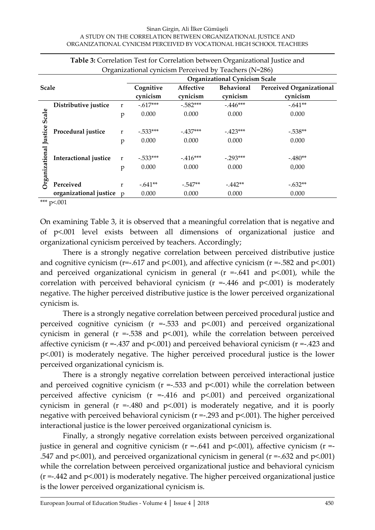#### Sinan Girgin, Ali İlker Gümüşeli A STUDY ON THE CORRELATION BETWEEN ORGANIZATIONAL JUSTICE AND ORGANIZATIONAL CYNICISM PERCEIVED BY VOCATIONAL HIGH SCHOOL TEACHERS

| <b>Table 5.</b> Correlation Test for Correlation between Organizational Justice and |                          |             |                                      |                   |                                 |           |  |  |  |
|-------------------------------------------------------------------------------------|--------------------------|-------------|--------------------------------------|-------------------|---------------------------------|-----------|--|--|--|
| Organizational cynicism Perceived by Teachers (N=286)                               |                          |             |                                      |                   |                                 |           |  |  |  |
|                                                                                     |                          |             | <b>Organizational Cynicism Scale</b> |                   |                                 |           |  |  |  |
| <b>Scale</b>                                                                        |                          | Cognitive   | Affective                            | <b>Behavioral</b> | <b>Perceived Organizational</b> |           |  |  |  |
|                                                                                     |                          |             | cynicism                             | cynicism          | cynicism                        | cynicism  |  |  |  |
|                                                                                     | Distributive justice     | r           | $-.617***$                           | $-.582***$        | $-.446***$                      | $-.641**$ |  |  |  |
| Scale                                                                               |                          | p           | 0.000                                | 0.000             | 0.000                           | 0.000     |  |  |  |
|                                                                                     |                          |             |                                      |                   |                                 |           |  |  |  |
| Justice                                                                             | Procedural justice       | r           | $-.533***$                           | $-.437***$        | $-423***$                       | $-.538**$ |  |  |  |
|                                                                                     |                          | p           | 0.000                                | 0.000             | 0.000                           | 0.000     |  |  |  |
|                                                                                     |                          |             |                                      |                   |                                 |           |  |  |  |
| <b>Drganizational</b>                                                               | Interactional justice    | $\mathbf r$ | $-.533***$                           | $-416***$         | $-.293***$                      | $-.480**$ |  |  |  |
|                                                                                     |                          | p           | 0.000                                | 0.000             | 0.000                           | 0,000     |  |  |  |
|                                                                                     |                          |             |                                      |                   |                                 |           |  |  |  |
|                                                                                     | Perceived                | r           | $-.641**$                            | $-.547**$         | $-0.442**$                      | $-.632**$ |  |  |  |
|                                                                                     | organizational justice p |             | 0.000                                | 0.000             | 0.000                           | 0.000     |  |  |  |
|                                                                                     |                          |             |                                      |                   |                                 |           |  |  |  |

**Table 3:** Correlation Test for Correlation between Organizational Justice and

\*\*\* p<.001

On examining Table 3, it is observed that a meaningful correlation that is negative and of p<.001 level exists between all dimensions of organizational justice and organizational cynicism perceived by teachers. Accordingly;

There is a strongly negative correlation between perceived distributive justice and cognitive cynicism ( $r=.617$  and  $p<.001$ ), and affective cynicism ( $r=.582$  and  $p<.001$ ) and perceived organizational cynicism in general  $(r = .641$  and  $p < .001)$ , while the correlation with perceived behavioral cynicism  $(r = .446$  and  $p < .001)$  is moderately negative. The higher perceived distributive justice is the lower perceived organizational cynicism is.

There is a strongly negative correlation between perceived procedural justice and perceived cognitive cynicism ( $r = -0.533$  and  $p < 0.001$ ) and perceived organizational cynicism in general ( $r = -0.538$  and  $p < 0.001$ ), while the correlation between perceived affective cynicism ( $r = -0.437$  and  $p < 0.001$ ) and perceived behavioral cynicism ( $r = -0.423$  and p<.001) is moderately negative. The higher perceived procedural justice is the lower perceived organizational cynicism is.

There is a strongly negative correlation between perceived interactional justice and perceived cognitive cynicism  $(r = .533$  and  $p < .001$ ) while the correlation between perceived affective cynicism ( $r = -0.416$  and  $p \le 0.001$ ) and perceived organizational cynicism in general ( $r = -0.480$  and  $p \le 0.001$ ) is moderately negative, and it is poorly negative with perceived behavioral cynicism (r =-.293 and p<.001). The higher perceived interactional justice is the lower perceived organizational cynicism is.

Finally, a strongly negative correlation exists between perceived organizational justice in general and cognitive cynicism ( $r = -0.641$  and  $p < 0.001$ ), affective cynicism ( $r = -1$ .547 and  $p<.001$ ), and perceived organizational cynicism in general ( $r = .632$  and  $p<.001$ ) while the correlation between perceived organizational justice and behavioral cynicism (r =-.442 and p<.001) is moderately negative. The higher perceived organizational justice is the lower perceived organizational cynicism is.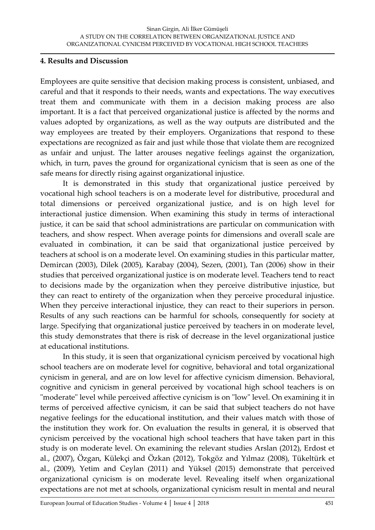#### **4. Results and Discussion**

Employees are quite sensitive that decision making process is consistent, unbiased, and careful and that it responds to their needs, wants and expectations. The way executives treat them and communicate with them in a decision making process are also important. It is a fact that perceived organizational justice is affected by the norms and values adopted by organizations, as well as the way outputs are distributed and the way employees are treated by their employers. Organizations that respond to these expectations are recognized as fair and just while those that violate them are recognized as unfair and unjust. The latter arouses negative feelings against the organization, which, in turn, paves the ground for organizational cynicism that is seen as one of the safe means for directly rising against organizational injustice.

It is demonstrated in this study that organizational justice perceived by vocational high school teachers is on a moderate level for distributive, procedural and total dimensions or perceived organizational justice, and is on high level for interactional justice dimension. When examining this study in terms of interactional justice, it can be said that school administrations are particular on communication with teachers, and show respect. When average points for dimensions and overall scale are evaluated in combination, it can be said that organizational justice perceived by teachers at school is on a moderate level. On examining studies in this particular matter, Demircan (2003), Dilek (2005), Karabay (2004), Sezen, (2001), Tan (2006) show in their studies that perceived organizational justice is on moderate level. Teachers tend to react to decisions made by the organization when they perceive distributive injustice, but they can react to entirety of the organization when they perceive procedural injustice. When they perceive interactional injustice, they can react to their superiors in person. Results of any such reactions can be harmful for schools, consequently for society at large. Specifying that organizational justice perceived by teachers in on moderate level, this study demonstrates that there is risk of decrease in the level organizational justice at educational institutions.

In this study, it is seen that organizational cynicism perceived by vocational high school teachers are on moderate level for cognitive, behavioral and total organizational cynicism in general, and are on low level for affective cynicism dimension. Behavioral, cognitive and cynicism in general perceived by vocational high school teachers is on "moderate" level while perceived affective cynicism is on "low" level. On examining it in terms of perceived affective cynicism, it can be said that subject teachers do not have negative feelings for the educational institution, and their values match with those of the institution they work for. On evaluation the results in general, it is observed that cynicism perceived by the vocational high school teachers that have taken part in this study is on moderate level. On examining the relevant studies Arslan (2012), Erdost et al., (2007), Özgan, Külekçi and Özkan (2012), Tokgöz and Yılmaz (2008), Tükeltürk et al., (2009), Yetim and Ceylan (2011) and Yüksel (2015) demonstrate that perceived organizational cynicism is on moderate level. Revealing itself when organizational expectations are not met at schools, organizational cynicism result in mental and neural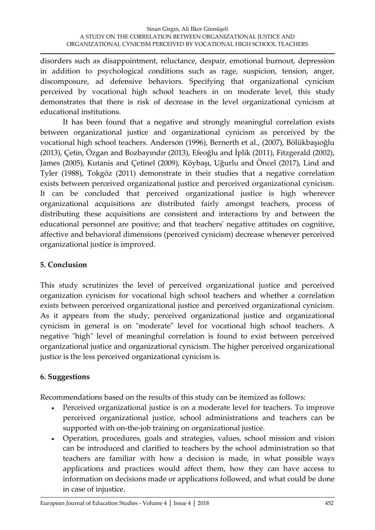disorders such as disappointment, reluctance, despair, emotional burnout, depression in addition to psychological conditions such as rage, suspicion, tension, anger, discomposure, ad defensive behaviors. Specifying that organizational cynicism perceived by vocational high school teachers in on moderate level, this study demonstrates that there is risk of decrease in the level organizational cynicism at educational institutions.

It has been found that a negative and strongly meaningful correlation exists between organizational justice and organizational cynicism as perceived by the vocational high school teachers. Anderson (1996), Bernerth et al., (2007), Bölükbaşıoğlu (2013), Çetin, Özgan and Bozbayındır (2013), Efeoğlu and İplik (2011), Fitzgerald (2002), James (2005), Kutanis and Çetinel (2009), Köybaşı, Uğurlu and Öncel (2017), Lind and Tyler (1988), Tokgöz (2011) demonstrate in their studies that a negative correlation exists between perceived organizational justice and perceived organizational cynicism. It can be concluded that perceived organizational justice is high wherever organizational acquisitions are distributed fairly amongst teachers, process of distributing these acquisitions are consistent and interactions by and between the educational personnel are positive; and that teachers' negative attitudes on cognitive, affective and behavioral dimensions (perceived cynicism) decrease whenever perceived organizational justice is improved.

## **5. Conclusion**

This study scrutinizes the level of perceived organizational justice and perceived organization cynicism for vocational high school teachers and whether a correlation exists between perceived organizational justice and perceived organizational cynicism. As it appears from the study, perceived organizational justice and organizational cynicism in general is on "moderate" level for vocational high school teachers. A negative "high" level of meaningful correlation is found to exist between perceived organizational justice and organizational cynicism. The higher perceived organizational justice is the less perceived organizational cynicism is.

## **6. Suggestions**

Recommendations based on the results of this study can be itemized as follows:

- Perceived organizational justice is on a moderate level for teachers. To improve perceived organizational justice, school administrations and teachers can be supported with on-the-job training on organizational justice.
- Operation, procedures, goals and strategies, values, school mission and vision can be introduced and clarified to teachers by the school administration so that teachers are familiar with how a decision is made, in what possible ways applications and practices would affect them, how they can have access to information on decisions made or applications followed, and what could be done in case of injustice.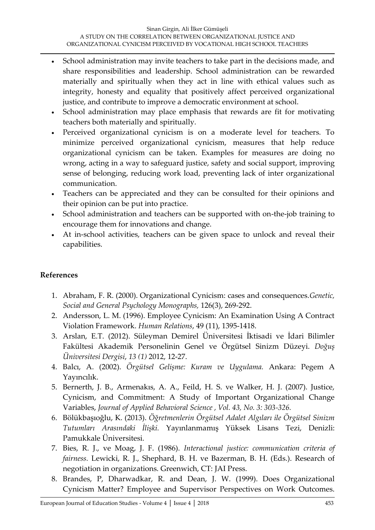- School administration may invite teachers to take part in the decisions made, and share responsibilities and leadership. School administration can be rewarded materially and spiritually when they act in line with ethical values such as integrity, honesty and equality that positively affect perceived organizational justice, and contribute to improve a democratic environment at school.
- School administration may place emphasis that rewards are fit for motivating teachers both materially and spiritually.
- Perceived organizational cynicism is on a moderate level for teachers. To minimize perceived organizational cynicism, measures that help reduce organizational cynicism can be taken. Examples for measures are doing no wrong, acting in a way to safeguard justice, safety and social support, improving sense of belonging, reducing work load, preventing lack of inter organizational communication.
- Teachers can be appreciated and they can be consulted for their opinions and their opinion can be put into practice.
- School administration and teachers can be supported with on-the-job training to encourage them for innovations and change.
- At in-school activities, teachers can be given space to unlock and reveal their capabilities.

## **References**

- 1. Abraham, F. R. (2000). Organizational Cynicism: cases and consequences.*Genetic, Social and General Psychology Monographs,* 126(3), 269-292.
- 2. Andersson, L. M. (1996). Employee Cynicism: An Examination Using A Contract Violation Framework. *Human Relations*, 49 (11), 1395-1418.
- 3. Arslan, E.T. (2012). Süleyman Demirel Üniversitesi İktisadi ve İdari Bilimler Fakültesi Akademik Personelinin Genel ve Örgütsel Sinizm Düzeyi. *Doğuş Üniversitesi Dergisi*, *13 (1)* 2012, 12-27.
- 4. Balcı, A. (2002). *Örgütsel Gelişme: Kuram ve Uygulama.* Ankara: Pegem A Yayıncılık.
- 5. Bernerth, J. B., Armenakıs, A. A., Feild, H. S. ve Walker, H. J. (2007). Justice, Cynicism, and Commitment: A Study of Important Organizational Change Variables, *Journal of Applied Behavioral Science , Vol. 43, No. 3: 303-326.*
- 6. Bölükbaşıoğlu, K. (2013). *Öğretmenlerin Örgütsel Adalet Algıları ile Örgütsel Sinizm Tutumları Arasındaki İlişki.* Yayınlanmamış Yüksek Lisans Tezi, Denizli: Pamukkale Üniversitesi.
- 7. Bies, R. J., ve Moag, J. F. (1986). *Interactional justice: communication criteria of fairness.* Lewicki, R. J., Shephard, B. H. ve Bazerman, B. H. (Eds.). Research of negotiation in organizations. Greenwich, CT: JAI Press.
- 8. Brandes, P, Dharwadkar, R. and Dean, J. W. (1999). Does Organizational Cynicism Matter? Employee and Supervisor Perspectives on Work Outcomes.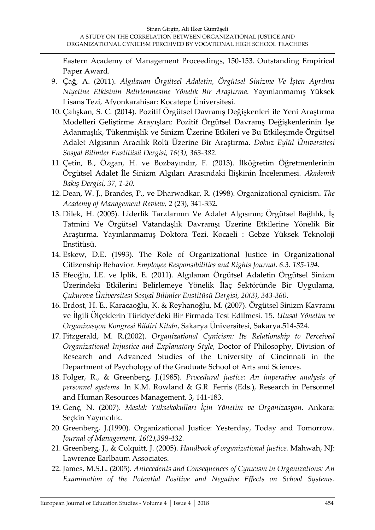Eastern Academy of Management Proceedings, 150-153. Outstanding Empirical Paper Award.

- 9. Çağ, A. (2011). *Algılanan Örgütsel Adaletin, Örgütsel Sinizme Ve İşten Ayrılma Niyetine Etkisinin Belirlenmesine Yönelik Bir Araştırma.* Yayınlanmamış Yüksek Lisans Tezi, Afyonkarahisar: Kocatepe Üniversitesi.
- 10. Çalışkan, S. C. (2014). Pozitif Örgütsel Davranış Değişkenleri ile Yeni Araştırma Modelleri Geliştirme Arayışları: Pozitif Örgütsel Davranış Değişkenlerinin İşe Adanmışlık, Tükenmişlik ve Sinizm Üzerine Etkileri ve Bu Etkileşimde Örgütsel Adalet Algısının Aracılık Rolü Üzerine Bir Araştırma. *Dokuz Eylül Üniversitesi Sosyal Bilimler Enstitüsü Dergisi, 16(3), 363-382.*
- 11. Çetin, B., Özgan, H. ve Bozbayındır, F. (2013). İlköğretim Öğretmenlerinin Örgütsel Adalet İle Sinizm Algıları Arasındaki İlişkinin İncelenmesi. *Akademik Bakış Dergisi, 37, 1-20.*
- 12. Dean, W. J., Brandes, P., ve Dharwadkar, R. (1998). Organizational cynicism. *The Academy of Management Review,* 2 (23), 341-352.
- 13. Dilek, H. (2005). Liderlik Tarzlarının Ve Adalet Algısının; Örgütsel Bağlılık, İş Tatmini Ve Örgütsel Vatandaşlık Davranışı Üzerine Etkilerine Yönelik Bir Araştırma. Yayınlanmamış Doktora Tezi. Kocaeli : Gebze Yüksek Teknoloji Enstitüsü.
- 14. Eskew, D.E. (1993). The Role of Organizational Justice in Organizational Citizenship Behavior. *Employee Responsibilities and Rights Journal. 6.3. 185-194.*
- 15. Efeoğlu, İ.E. ve İplik, E. (2011). Algılanan Örgütsel Adaletin Örgütsel Sinizm Üzerindeki Etkilerini Belirlemeye Yönelik İlaç Sektöründe Bir Uygulama, *Çukurova Üniversitesi Sosyal Bilimler Enstitüsü Dergisi, 20(3), 343-360*.
- 16. Erdost, H. E., Karacaoğlu, K. & Reyhanoğlu, M. (2007). Örgütsel Sinizm Kavramı ve İlgili Ölçeklerin Türkiye'deki Bir Firmada Test Edilmesi. 15. *Ulusal Yönetim ve Organizasyon Kongresi Bildiri Kitabı*, Sakarya Üniversitesi, Sakarya.514-524.
- 17. Fitzgerald, M. R.(2002). *Organizational Cynicism: Its Relationship to Perceived Organizational Injustice and Explanatory Style*, Doctor of Philosophy, Division of Research and Advanced Studies of the University of Cincinnati in the Department of Psychology of the Graduate School of Arts and Sciences.
- 18. Folger, R., & Greenberg, J.(1985). *Procedural justice: An imperative analysis of personnel systems.* In K.M. Rowland & G.R. Ferris (Eds.), Research in Personnel and Human Resources Management, 3, 141-183.
- 19. Genç, N. (2007). *Meslek Yüksekokulları İçin Yönetim ve Organizasyon.* Ankara: Seçkin Yayıncılık.
- 20. Greenberg, J.(1990). Organizational Justice: Yesterday, Today and Tomorrow. *Journal of Management, 16(2),399-432.*
- 21. Greenberg, J., & Colquitt, J. (2005). *Handbook of organizational justice.* Mahwah, NJ: Lawrence Earlbaum Associates.
- 22. James, M.S.L. (2005). *Antecedents and Consequences of Cynıcısm in Organızations: An Examination of the Potential Positive and Negative Effects on School Systems*.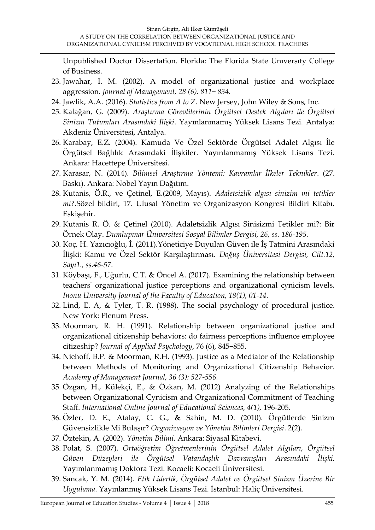Unpublished Doctor Dissertation. Florida: The Florida State Unıversıty College of Business.

- 23. Jawahar, I. M. (2002). A model of organizational justice and workplace aggression. *Journal of Management, 28 (6), 811− 834.*
- 24. Jawlik, A.A. (2016). *Statistics from A to Z.* New Jersey, John Wiley & Sons, Inc.
- 25. Kalağan, G. (2009). *Araştırma Görevlilerinin Örgütsel Destek Algıları ile Örgütsel Sinizm Tutumları Arasındaki İlişki*. Yayınlanmamış Yüksek Lisans Tezi. Antalya: Akdeniz Üniversitesi, Antalya.
- 26. Karabay, E.Z. (2004). Kamuda Ve Özel Sektörde Örgütsel Adalet Algısı İle Örgütsel Bağlılık Arasındaki İlişkiler. Yayınlanmamış Yüksek Lisans Tezi. Ankara: Hacettepe Üniversitesi.
- 27. Karasar, N. (2014). *Bilimsel Araştırma Yöntemi: Kavramlar İlkeler Teknikler*. (27. Baskı). Ankara: Nobel Yayın Dağıtım.
- 28. Kutanis, Ö.R., ve Çetinel, E.(2009, Mayıs). *Adaletsizlik algısı sinizim mi tetikler mi?.*Sözel bildiri, 17. Ulusal Yönetim ve Organizasyon Kongresi Bildiri Kitabı. Eskişehir.
- 29. Kutanis R. Ö. & Çetinel (2010). Adaletsizlik Algısı Sinisizmi Tetikler mi?: Bir Örnek Olay. *Dumlupınar Üniversitesi Sosyal Bilimler Dergisi, 26, ss. 186-195.*
- 30. Koç, H. Yazıcıoğlu, İ. (2011).Yöneticiye Duyulan Güven ile İş Tatmini Arasındaki İlişki: Kamu ve Özel Sektör Karşılaştırması. *Doğuş Üniversitesi Dergisi, Cilt.12, Sayı1., ss.46-57.*
- 31. Köybaşı, F., Uğurlu, C.T. & Öncel A. (2017). Examining the relationship between teachers' organizational justice perceptions and organizational cynicism levels. *Inonu University Journal of the Faculty of Education, 18(1), 01-14.*
- 32. Lind, E. A, & Tyler, T. R. (1988). The social psychology of procedural justice. New York: Plenum Press.
- 33. Moorman, R. H. (1991). Relationship between organizational justice and organizational citizenship behaviors: do fairness perceptions influence employee citizeship? *Journal of Applied Psychology*, 76 (6), 845−855.
- 34. Niehoff, B.P. & Moorman, R.H. (1993). Justice as a Mediator of the Relationship between Methods of Monitoring and Organizational Citizenship Behavior. *Academy of Management Journal, 36 (3): 527-556.*
- 35. Özgan, H., Külekçi, E., & Özkan, M. (2012) Analyzing of the Relationships between Organizational Cynicism and Organizational Commitment of Teaching Staff. *International Online Journal of Educational Sciences, 4(1),* 196-205.
- 36. Özler, D. E., Atalay, C. G., & Sahin, M. D. (2010). Örgütlerde Sinizm Güvensizlikle Mi Bulaşır? *Organizasyon ve Yönetim Bilimleri Dergisi*. 2(2).
- 37. Öztekin, A. (2002). *Yönetim Bilimi.* Ankara: Siyasal Kitabevi.
- 38. Polat, S. (2007). *Ortaöğretim Öğretmenlerinin Örgütsel Adalet Algıları, Örgütsel Güven Düzeyleri ile Örgütsel Vatandaşlık Davranışları Arasındaki İlişki.* Yayımlanmamış Doktora Tezi. Kocaeli: Kocaeli Üniversitesi.
- 39. Sancak, Y. M. (2014). *Etik Liderlik, Örgütsel Adalet ve Örgütsel Sinizm Üzerine Bir Uygulama*. Yayınlanmış Yüksek Lisans Tezi. İstanbul: Haliç Üniversitesi.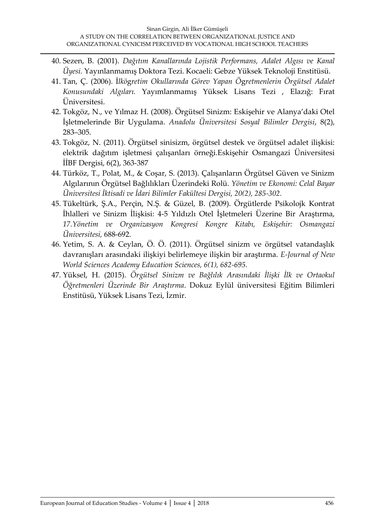- 40. Sezen, B. (2001). *Dağıtım Kanallarında Lojistik Performans, Adalet Algısı ve Kanal Üyesi.* Yayınlanmamış Doktora Tezi. Kocaeli: Gebze Yüksek Teknoloji Enstitüsü.
- 41. Tan, Ç. (2006). İ*lkö*g*retim Okullarında Görev Yapan Ö*g*retmenlerin Örgütsel Adalet Konusundaki Algıları.* Yayımlanmamış Yüksek Lisans Tezi , Elazığ: Fırat Üniversitesi.
- 42. Tokgöz, N., ve Yılmaz H. (2008). Örgütsel Sinizm: Eskişehir ve Alanya'daki Otel İşletmelerinde Bir Uygulama. *Anadolu Üniversitesi Sosyal Bilimler Dergisi*, 8(2), 283–305.
- 43. Tokgöz, N. (2011). Örgütsel sinisizm, örgütsel destek ve örgütsel adalet ilişkisi: elektrik dağıtım işletmesi çalışanları örneği.Eskişehir Osmangazi Üniversitesi İİBF Dergisi, 6(2), 363-387
- 44. Türköz, T., Polat, M., & Coşar, S. (2013). Çalışanların Örgütsel Güven ve Sinizm Algılarının Örgütsel Bağlılıkları Üzerindeki Rolü. *Yönetim ve Ekonomi: Celal Bayar Üniversitesi İktisadi ve İdari Bilimler Fakültesi Dergisi, 20(2), 285-302.*
- 45. Tükeltürk, Ş.A., Perçin, N.Ş. & Güzel, B. (2009). Örgütlerde Psikolojk Kontrat İhlalleri ve Sinizm İlişkisi: 4-5 Yıldızlı Otel İşletmeleri Üzerine Bir Araştırma, *17.Yönetim ve Organizasyon Kongresi Kongre Kitabı, Eskişehir: Osmangazi Üniversitesi,* 688-692.
- 46. Yetim, S. A. & Ceylan, Ö. Ö. (2011). Örgütsel sinizm ve örgütsel vatandaşlık davranışları arasındaki ilişkiyi belirlemeye ilişkin bir araştırma. *E-Journal of New World Sciences Academy Education Sciences, 6(1), 682-695.*
- 47. Yüksel, H. (2015). *Örgütsel Sinizm ve Bağlılık Arasındaki İlişki İlk ve Ortaokul Öğretmenleri Üzerinde Bir Araştırma*. Dokuz Eylül üniversitesi Eğitim Bilimleri Enstitüsü, Yüksek Lisans Tezi, İzmir.